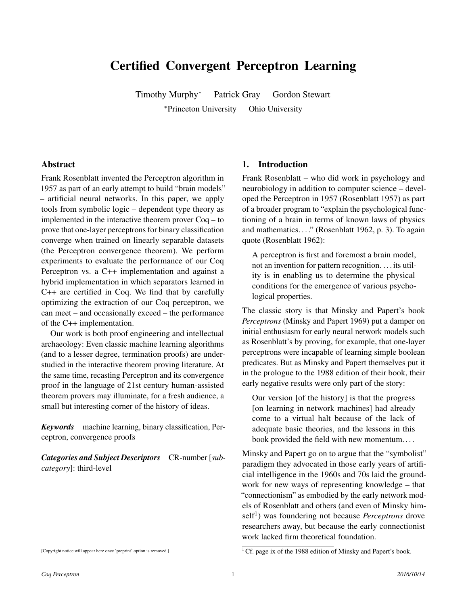# Certified Convergent Perceptron Learning

Timothy Murphy<sup>∗</sup> Patrick Gray Gordon Stewart

<sup>∗</sup>Princeton University Ohio University

#### Abstract

Frank Rosenblatt invented the Perceptron algorithm in 1957 as part of an early attempt to build "brain models" – artificial neural networks. In this paper, we apply tools from symbolic logic – dependent type theory as implemented in the interactive theorem prover Coq – to prove that one-layer perceptrons for binary classification converge when trained on linearly separable datasets (the Perceptron convergence theorem). We perform experiments to evaluate the performance of our Coq Perceptron vs. a C++ implementation and against a hybrid implementation in which separators learned in C++ are certified in Coq. We find that by carefully optimizing the extraction of our Coq perceptron, we can meet – and occasionally exceed – the performance of the C++ implementation.

Our work is both proof engineering and intellectual archaeology: Even classic machine learning algorithms (and to a lesser degree, termination proofs) are understudied in the interactive theorem proving literature. At the same time, recasting Perceptron and its convergence proof in the language of 21st century human-assisted theorem provers may illuminate, for a fresh audience, a small but interesting corner of the history of ideas.

*Keywords* machine learning, binary classification, Perceptron, convergence proofs

*Categories and Subject Descriptors* CR-number [*subcategory*]: third-level

#### 1. Introduction

Frank Rosenblatt – who did work in psychology and neurobiology in addition to computer science – developed the Perceptron in 1957 (Rosenblatt 1957) as part of a broader program to "explain the psychological functioning of a brain in terms of known laws of physics and mathematics. . . ." (Rosenblatt 1962, p. 3). To again quote (Rosenblatt 1962):

A perceptron is first and foremost a brain model, not an invention for pattern recognition. . . . its utility is in enabling us to determine the physical conditions for the emergence of various psychological properties.

The classic story is that Minsky and Papert's book *Perceptrons* (Minsky and Papert 1969) put a damper on initial enthusiasm for early neural network models such as Rosenblatt's by proving, for example, that one-layer perceptrons were incapable of learning simple boolean predicates. But as Minsky and Papert themselves put it in the prologue to the 1988 edition of their book, their early negative results were only part of the story:

Our version [of the history] is that the progress [on learning in network machines] had already come to a virtual halt because of the lack of adequate basic theories, and the lessons in this book provided the field with new momentum. . . .

Minsky and Papert go on to argue that the "symbolist" paradigm they advocated in those early years of artificial intelligence in the 1960s and 70s laid the groundwork for new ways of representing knowledge – that "connectionism" as embodied by the early network models of Rosenblatt and others (and even of Minsky himself<sup>1</sup>) was foundering not because *Perceptrons* drove researchers away, but because the early connectionist work lacked firm theoretical foundation.

<sup>[</sup>Copyright notice will appear here once 'preprint' option is removed.]

 $<sup>1</sup>$  Cf. page ix of the 1988 edition of Minsky and Papert's book.</sup>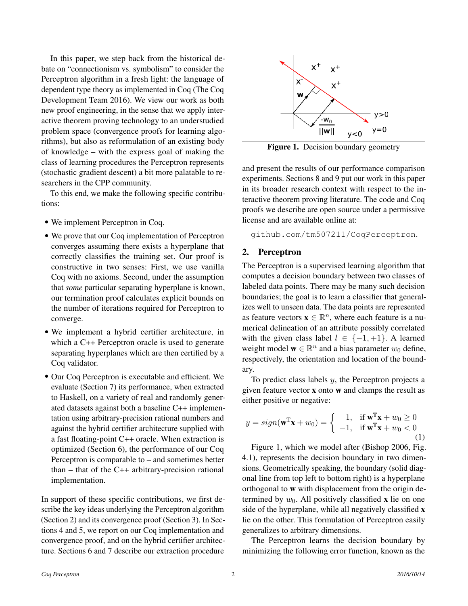In this paper, we step back from the historical debate on "connectionism vs. symbolism" to consider the Perceptron algorithm in a fresh light: the language of dependent type theory as implemented in Coq (The Coq Development Team 2016). We view our work as both new proof engineering, in the sense that we apply interactive theorem proving technology to an understudied problem space (convergence proofs for learning algorithms), but also as reformulation of an existing body of knowledge – with the express goal of making the class of learning procedures the Perceptron represents (stochastic gradient descent) a bit more palatable to researchers in the CPP community.

To this end, we make the following specific contributions:

- We implement Perceptron in Coq.
- We prove that our Coq implementation of Perceptron converges assuming there exists a hyperplane that correctly classifies the training set. Our proof is constructive in two senses: First, we use vanilla Coq with no axioms. Second, under the assumption that *some* particular separating hyperplane is known, our termination proof calculates explicit bounds on the number of iterations required for Perceptron to converge.
- We implement a hybrid certifier architecture, in which a C<sub>++</sub> Perceptron oracle is used to generate separating hyperplanes which are then certified by a Coq validator.
- Our Coq Perceptron is executable and efficient. We evaluate (Section 7) its performance, when extracted to Haskell, on a variety of real and randomly generated datasets against both a baseline C++ implementation using arbitrary-precision rational numbers and against the hybrid certifier architecture supplied with a fast floating-point C++ oracle. When extraction is optimized (Section 6), the performance of our Coq Perceptron is comparable to – and sometimes better than – that of the C++ arbitrary-precision rational implementation.

In support of these specific contributions, we first describe the key ideas underlying the Perceptron algorithm (Section 2) and its convergence proof (Section 3). In Sections 4 and 5, we report on our Coq implementation and convergence proof, and on the hybrid certifier architecture. Sections 6 and 7 describe our extraction procedure



Figure 1. Decision boundary geometry

and present the results of our performance comparison experiments. Sections 8 and 9 put our work in this paper in its broader research context with respect to the interactive theorem proving literature. The code and Coq proofs we describe are open source under a permissive license and are available online at:

github.com/tm507211/CoqPerceptron.

### 2. Perceptron

The Perceptron is a supervised learning algorithm that computes a decision boundary between two classes of labeled data points. There may be many such decision boundaries; the goal is to learn a classifier that generalizes well to unseen data. The data points are represented as feature vectors  $\mathbf{x} \in \mathbb{R}^n$ , where each feature is a numerical delineation of an attribute possibly correlated with the given class label  $l \in \{-1, +1\}$ . A learned weight model  $\mathbf{w} \in \mathbb{R}^n$  and a bias parameter  $w_0$  define, respectively, the orientation and location of the boundary.

To predict class labels  $y$ , the Perceptron projects a given feature vector x onto w and clamps the result as either positive or negative:

$$
y = sign(\mathbf{w}^{\mathbb{T}}\mathbf{x} + w_0) = \begin{cases} 1, & \text{if } \mathbf{w}^{\mathbb{T}}\mathbf{x} + w_0 \ge 0\\ -1, & \text{if } \mathbf{w}^{\mathbb{T}}\mathbf{x} + w_0 < 0 \end{cases}
$$
(1)

Figure 1, which we model after (Bishop 2006, Fig. 4.1), represents the decision boundary in two dimensions. Geometrically speaking, the boundary (solid diagonal line from top left to bottom right) is a hyperplane orthogonal to w with displacement from the origin determined by  $w_0$ . All positively classified x lie on one side of the hyperplane, while all negatively classified x lie on the other. This formulation of Perceptron easily generalizes to arbitrary dimensions.

The Perceptron learns the decision boundary by minimizing the following error function, known as the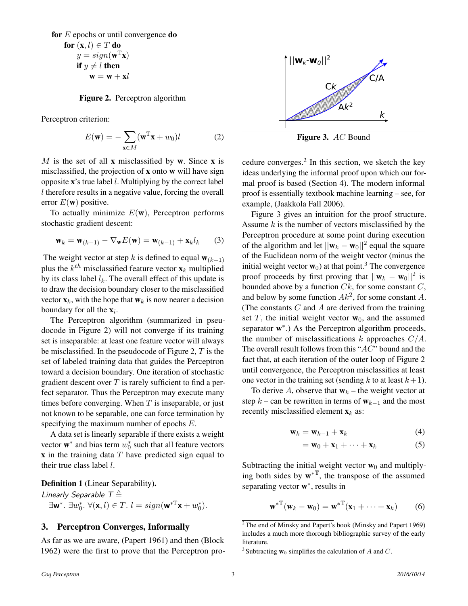for  $E$  epochs or until convergence **do** for  $(x, l) \in T$  do  $y = sign(\mathbf{w}^T\mathbf{x})$ if  $y \neq l$  then  $\mathbf{w} = \mathbf{w} + \mathbf{x}l$ 

Figure 2. Perceptron algorithm

Perceptron criterion:

$$
E(\mathbf{w}) = -\sum_{\mathbf{x} \in M} (\mathbf{w}^{\mathbb{T}} \mathbf{x} + w_0) l \tag{2}
$$

M is the set of all  $x$  misclassified by w. Since  $x$  is misclassified, the projection of x onto w will have sign opposite  $\mathbf{x}$ 's true label *l*. Multiplying by the correct label l therefore results in a negative value, forcing the overall error  $E(\mathbf{w})$  positive.

To actually minimize  $E(\mathbf{w})$ , Perceptron performs stochastic gradient descent:

$$
\mathbf{w}_k = \mathbf{w}_{(k-1)} - \nabla_{\mathbf{w}} E(\mathbf{w}) = \mathbf{w}_{(k-1)} + \mathbf{x}_k l_k \qquad (3)
$$

The weight vector at step k is defined to equal  $\mathbf{w}_{(k-1)}$ plus the  $k^{th}$  misclassified feature vector  $\mathbf{x}_k$  multiplied by its class label  $l_k$ . The overall effect of this update is to draw the decision boundary closer to the misclassified vector  $\mathbf{x}_k$ , with the hope that  $\mathbf{w}_k$  is now nearer a decision boundary for all the  $\mathbf{x}_i$ .

The Perceptron algorithm (summarized in pseudocode in Figure 2) will not converge if its training set is inseparable: at least one feature vector will always be misclassified. In the pseudocode of Figure 2,  $T$  is the set of labeled training data that guides the Perceptron toward a decision boundary. One iteration of stochastic gradient descent over  $T$  is rarely sufficient to find a perfect separator. Thus the Perceptron may execute many times before converging. When  $T$  is inseparable, or just not known to be separable, one can force termination by specifying the maximum number of epochs E.

A data set is linearly separable if there exists a weight vector  $\mathbf{w}^*$  and bias term  $w_0^*$  such that all feature vectors  $x$  in the training data  $T$  have predicted sign equal to their true class label  $l$ .

#### Definition 1 (Linear Separability).

Linearly Separable  $T \triangleq$  $\exists w^*.\ \exists w_0^*,\ \forall (\mathbf{x}, l) \in T.\ l = sign(\mathbf{w}^* \mathbb{T} \mathbf{x} + w_0^*).$ 

### 3. Perceptron Converges, Informally

As far as we are aware, (Papert 1961) and then (Block 1962) were the first to prove that the Perceptron pro-



Figure 3. AC Bound

cedure converges. $2$  In this section, we sketch the key ideas underlying the informal proof upon which our formal proof is based (Section 4). The modern informal proof is essentially textbook machine learning – see, for example, (Jaakkola Fall 2006).

Figure 3 gives an intuition for the proof structure. Assume  $k$  is the number of vectors misclassified by the Perceptron procedure at some point during execution of the algorithm and let  $||\mathbf{w}_k - \mathbf{w}_0||^2$  equal the square of the Euclidean norm of the weight vector (minus the initial weight vector  $\mathbf{w}_0$ ) at that point.<sup>3</sup> The convergence proof proceeds by first proving that  $||\mathbf{w}_k - \mathbf{w}_0||^2$  is bounded above by a function  $C_k$ , for some constant  $C$ , and below by some function  $Ak^2$ , for some constant A. (The constants  $C$  and  $A$  are derived from the training set  $T$ , the initial weight vector  $w_0$ , and the assumed separator  $w^*$ .) As the Perceptron algorithm proceeds, the number of misclassifications k approaches  $C/A$ . The overall result follows from this "AC" bound and the fact that, at each iteration of the outer loop of Figure 2 until convergence, the Perceptron misclassifies at least one vector in the training set (sending k to at least  $k+1$ ).

To derive A, observe that  $w_k$  – the weight vector at step  $k$  – can be rewritten in terms of  $w_{k-1}$  and the most recently misclassified element  $\mathbf{x}_k$  as:

$$
\mathbf{w}_k = \mathbf{w}_{k-1} + \mathbf{x}_k \tag{4}
$$

$$
= \mathbf{w}_0 + \mathbf{x}_1 + \cdots + \mathbf{x}_k \tag{5}
$$

Subtracting the initial weight vector  $w_0$  and multiplying both sides by  $\mathbf{w}^*$ , the transpose of the assumed separating vector  $w^*$ , results in

$$
\mathbf{w}^{*T}(\mathbf{w}_k - \mathbf{w}_0) = \mathbf{w}^{*T}(\mathbf{x}_1 + \cdots + \mathbf{x}_k)
$$
 (6)

 $2$ <sup>T</sup>he end of Minsky and Papert's book (Minsky and Papert 1969) includes a much more thorough bibliographic survey of the early literature.

<sup>&</sup>lt;sup>3</sup> Subtracting  $w_0$  simplifies the calculation of A and C.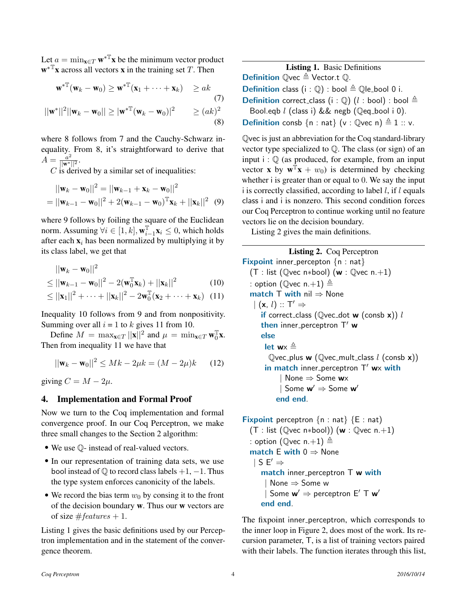Let  $a = \min_{\mathbf{x} \in T} \mathbf{w}^{*T} \mathbf{x}$  be the minimum vector product  $\mathbf{w}^*$ **x** across all vectors **x** in the training set T. Then

$$
\mathbf{w}^{*T}(\mathbf{w}_k - \mathbf{w}_0) \ge \mathbf{w}^{*T}(\mathbf{x}_1 + \dots + \mathbf{x}_k) \ge ak
$$
  
(7)  

$$
||\mathbf{w}^*||^2||\mathbf{w}_k - \mathbf{w}_0|| \ge |\mathbf{w}^{*T}(\mathbf{w}_k - \mathbf{w}_0)|^2 \ge (ak)^2
$$
  
(8)

where 8 follows from 7 and the Cauchy-Schwarz inequality. From 8, it's straightforward to derive that  $\overline{A} = \frac{a^2}{\|\mathbf{w}^*\|^2}.$ 

 $C$  is derived by a similar set of inequalities:

$$
||\mathbf{w}_k - \mathbf{w}_0||^2 = ||\mathbf{w}_{k-1} + \mathbf{x}_k - \mathbf{w}_0||^2
$$
  
=  $||\mathbf{w}_{k-1} - \mathbf{w}_0||^2 + 2(\mathbf{w}_{k-1} - \mathbf{w}_0)^T \mathbf{x}_k + ||\mathbf{x}_k||^2$  (9)

where 9 follows by foiling the square of the Euclidean norm. Assuming  $\forall i \in [1, k], \mathbf{w}_{i}^{\mathbb{T}}$  $\sum_{i=1}^{\mathbb{T}} \mathbf{x}_i \leq 0$ , which holds after each  $x_i$  has been normalized by multiplying it by its class label, we get that

$$
||\mathbf{w}_k - \mathbf{w}_0||^2
$$
  
\n
$$
\leq ||\mathbf{w}_{k-1} - \mathbf{w}_0||^2 - 2(\mathbf{w}_0^T \mathbf{x}_k) + ||\mathbf{x}_k||^2
$$
 (10)

$$
\leq ||\mathbf{x}_1||^2 + \cdots + ||\mathbf{x}_k||^2 - 2\mathbf{w}_0^{\mathbb{T}}(\mathbf{x}_2 + \cdots + \mathbf{x}_k)
$$
 (11)

Inequality 10 follows from 9 and from nonpositivity. Summing over all  $i = 1$  to k gives 11 from 10.

Define  $M = \max_{\mathbf{x} \in T} ||\mathbf{x}||^2$  and  $\mu = \min_{\mathbf{x} \in T} \mathbf{w}_0^T$  $\frac{1}{0}$ X. Then from inequality 11 we have that

$$
||\mathbf{w}_k - \mathbf{w}_0||^2 \le Mk - 2\mu k = (M - 2\mu)k \qquad (12)
$$

giving  $C = M - 2\mu$ .

### 4. Implementation and Formal Proof

Now we turn to the Coq implementation and formal convergence proof. In our Coq Perceptron, we make three small changes to the Section 2 algorithm:

- We use  $\mathbb{Q}$  instead of real-valued vectors.
- In our representation of training data sets, we use bool instead of  $\mathbb Q$  to record class labels +1, -1. Thus the type system enforces canonicity of the labels.
- We record the bias term  $w_0$  by consing it to the front of the decision boundary  $w$ . Thus our  $w$  vectors are of size  $\#features + 1$ .

Listing 1 gives the basic definitions used by our Perceptron implementation and in the statement of the convergence theorem.

Listing 1. Basic Definitions **Definition**  $\mathbb{Q}$ vec  $\triangleq$  Vector.t  $\mathbb{Q}$ . **Definition** class (i :  $\mathbb{Q}$ ) : bool  $\triangleq$   $\mathbb{Q}$ le bool 0 i. **Definition** correct\_class (i :  $\mathbb{Q}$ ) (l : bool) : bool  $\triangleq$ Bool.eqb  $l$  (class i) && negb ( $Q$ eq\_bool i 0). **Definition** consb  $\{n : nat\}$  (v : Qvec n)  $\triangleq 1 :: v$ .

Qvec is just an abbreviation for the Coq standard-library vector type specialized to  $\mathbb{O}$ . The class (or sign) of an input  $i : \mathbb{Q}$  (as produced, for example, from an input vector **x** by  $\mathbf{w}^T \mathbf{x} + w_0$ ) is determined by checking whether i is greater than or equal to 0. We say the input i is correctly classified, according to label  $l$ , if  $l$  equals class i and i is nonzero. This second condition forces our Coq Perceptron to continue working until no feature vectors lie on the decision boundary.

Listing 2 gives the main definitions.

Listing 2. Coq Perceptron **Fixpoint** inner percepton  $\{n : nat\}$ (T : list ( $\mathbb{Q}$ vec n\*bool) (w :  $\mathbb{Q}$ vec n.+1) : option ( $\mathbb{Q}$ vec n.+1)  $\triangleq$ match T with nil  $\Rightarrow$  None  $\vert$  (x, l) :: T'  $\Rightarrow$ if correct\_class ( $Q$ vec\_dot w (consb x))  $l$ then inner perceptron  $T'$  w else let  $w \times \triangleq$ Qvec\_plus **w** (Qvec\_mult\_class  $l$  (consb  $x$ )) in match inner perceptron  $T'$  wx with  $None \Rightarrow Some$  wx Some  $w' \Rightarrow$  Some  $w'$ end end.

```
Fixpoint perceptron \{n : nat\} \{E : nat\}(T : list (Qvec n*bool)) (w : Qvec n.+1)
  : option (\mathbb{Q}vec n.+1) \triangleqmatch E with 0 \Rightarrow None
   | S E' \Rightarrowmatch inner perceptron T w with
        | None ⇒ Some w
        Some w' \Rightarrow perceptron E' T w'end end.
```
The fixpoint inner perceptron, which corresponds to the inner loop in Figure 2, does most of the work. Its recursion parameter, T, is a list of training vectors paired with their labels. The function iterates through this list,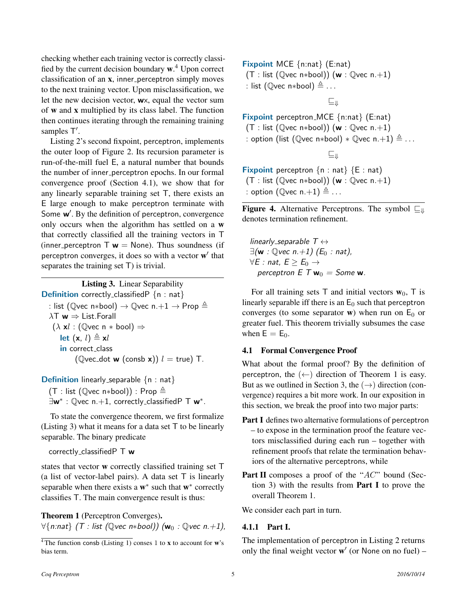checking whether each training vector is correctly classified by the current decision boundary w.<sup>4</sup> Upon correct classification of an  $x$ , inner perceptron simply moves to the next training vector. Upon misclassification, we let the new decision vector, wx, equal the vector sum of w and x multiplied by its class label. The function then continues iterating through the remaining training samples T'.

Listing 2's second fixpoint, perceptron, implements the outer loop of Figure 2. Its recursion parameter is run-of-the-mill fuel E, a natural number that bounds the number of inner perceptron epochs. In our formal convergence proof (Section 4.1), we show that for any linearly separable training set T, there exists an E large enough to make perceptron terminate with Some w'. By the definition of perceptron, convergence only occurs when the algorithm has settled on a w that correctly classified all the training vectors in T (inner perceptron  $\mathsf{T} \mathbf{w} = \mathsf{None}$ ). Thus soundness (if perceptron converges, it does so with a vector  $\mathbf{w}'$  that separates the training set T) is trivial.

Listing 3. Linear Separability **Definition** correctly classifiedP  $\{n : nat\}$ : list (Qvec n\*bool)  $\rightarrow$  Qvec n.+1  $\rightarrow$  Prop  $\triangleq$  $\lambda T \mathbf{w} \Rightarrow$  List. Forall  $(\lambda \times l : (\mathbb{Q} \vee c \cap \ast \text{bool}) \Rightarrow$ let  $(x, l) \triangleq xl$ in correct\_class (Qvec\_dot **w** (consb **x**))  $l = true$ ) T.

**Definition** linearly separable  $\{n : nat\}$ (T : list ( $\mathbb{Q}$ vec n\*bool)) : Prop  $\triangleq$ 

 $\exists \mathbf{w}^* : \mathbb{Q}$ vec n.+1, correctly\_classifiedPT  $\mathbf{w}^*$ .

To state the convergence theorem, we first formalize (Listing 3) what it means for a data set T to be linearly separable. The binary predicate

correctly\_classified $P T w$ 

states that vector w correctly classified training set T (a list of vector-label pairs). A data set  $T$  is linearly separable when there exists a  $w^*$  such that  $w^*$  correctly classifies T. The main convergence result is thus:

Theorem 1 (Perceptron Converges).  $\forall$ {n:nat} (T : list ( $\mathbb{Q}$ vec n\*bool)) ( $w_0$  :  $\mathbb{Q}$ vec n.+1), Fixpoint MCE {n:nat} (E:nat) (T : list ( $Q$ vec n\*bool)) (w :  $Q$ vec n.+1) : list ( $\mathbb{Q}$ vec n\*bool)  $\triangleq$  ...

 $E_{\text{w}}$ 

Fixpoint perceptron\_MCE {n:nat} (E:nat) (T : list ( $Q$ vec n\*bool)) (w :  $Q$ vec n.+1) : option (list ( $\mathbb{Q}$ vec n\*bool) \*  $\mathbb{Q}$ vec n.+1)  $\triangleq$  ...

 $\sqsubseteq_{\mathsf{JL}}$ 

Fixpoint perceptron  $\{n : nat\}$   $\{E : nat\}$ (T : list ( $Q$ vec n\*bool)) (w :  $Q$ vec n.+1) : option ( $\mathbb{Q}$ vec n.+1)  $\triangleq$  ...

**Figure 4.** Alternative Perceptrons. The symbol  $\Box$ denotes termination refinement.

linearly\_separable  $T \leftrightarrow$  $\exists$ (**w** :  $\mathbb{Q}$ *vec*  $n.+1$ ) ( $E_0$  : nat),  $\forall E : \textit{nat}, E \geq E_0 \rightarrow$ perceptron  $E T w_0 =$  Some w.

For all training sets T and initial vectors  $w_0$ , T is linearly separable iff there is an  $E_0$  such that perceptron converges (to some separator w) when run on  $E_0$  or greater fuel. This theorem trivially subsumes the case when  $E = E_0$ .

### 4.1 Formal Convergence Proof

What about the formal proof? By the definition of perceptron, the  $($  ←  $)$  direction of Theorem 1 is easy. But as we outlined in Section 3, the  $(\rightarrow)$  direction (convergence) requires a bit more work. In our exposition in this section, we break the proof into two major parts:

- Part I defines two alternative formulations of perceptron – to expose in the termination proof the feature vectors misclassified during each run – together with refinement proofs that relate the termination behaviors of the alternative perceptrons, while
- Part II composes a proof of the "AC" bound (Section 3) with the results from **Part I** to prove the overall Theorem 1.

We consider each part in turn.

### 4.1.1 Part I.

The implementation of perceptron in Listing 2 returns only the final weight vector  $w'$  (or None on no fuel) –

 $\sqrt[4]{4}$ The function consb (Listing 1) conses 1 to x to account for w's bias term.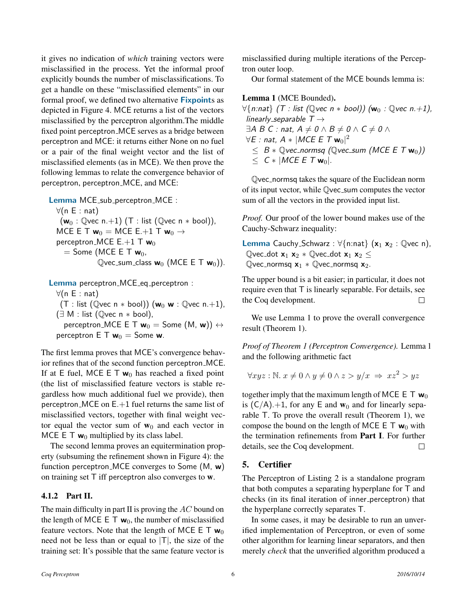it gives no indication of *which* training vectors were misclassified in the process. Yet the informal proof explicitly bounds the number of misclassifications. To get a handle on these "misclassified elements" in our formal proof, we defined two alternative **Fixpoints** as depicted in Figure 4. MCE returns a list of the vectors misclassified by the perceptron algorithm.The middle fixed point perceptron MCE serves as a bridge between perceptron and MCE: it returns either None on no fuel or a pair of the final weight vector and the list of misclassified elements (as in MCE). We then prove the following lemmas to relate the convergence behavior of perceptron, perceptron\_MCE, and MCE:

Lemma MCE\_sub\_perceptron\_MCE :  $\forall$ (n E : nat)  $(\mathsf{w}_0 : \mathbb{Q}$ vec n.+1) (T : list ( $\mathbb{Q}$ vec n \* bool)), MCE E T  $w_0 =$  MCE E.+1 T  $w_0 \rightarrow$ perceptron MCE  $E.+1$  T  $w_0$  $=$  Some (MCE E T  $w_0$ ,  $Q$ vec\_sum\_class  $w_0$  (MCE E T  $w_0$ )).

```
Lemma perceptron_MCE_eq_perceptron :
  \forall(n E : nat)
   (T : list (Qvec n * bool)) (w_0 w : Qvec n.+1),
  (\exists M : \text{list } (\mathbb{Q} \vee \text{ec } n * \text{bool}),perceptron_MCE E T w_0 = Some (M, w)) \leftrightarrowperceptron E T w_0 = Some w.
```
The first lemma proves that MCE's convergence behavior refines that of the second function perceptron MCE. If at E fuel, MCE E T  $w_0$  has reached a fixed point (the list of misclassified feature vectors is stable regardless how much additional fuel we provide), then perceptron  $MCE$  on  $E+1$  fuel returns the same list of misclassified vectors, together with final weight vector equal the vector sum of  $w_0$  and each vector in MCE E T  $w_0$  multiplied by its class label.

The second lemma proves an equitermination property (subsuming the refinement shown in Figure 4): the function perceptron MCE converges to Some (M, w) on training set  $\top$  iff perceptron also converges to **w**.

### 4.1.2 Part II.

The main difficulty in part  $II$  is proving the  $AC$  bound on the length of MCE E T  $w_0$ , the number of misclassified feature vectors. Note that the length of MCE E T  $w_0$ need not be less than or equal to  $|T|$ , the size of the training set: It's possible that the same feature vector is

misclassified during multiple iterations of the Perceptron outer loop.

Our formal statement of the MCE bounds lemma is:

Lemma 1 (MCE Bounded).

 $\forall$ {n:nat} (T : list (Qvec n \* bool)) ( $w_0$  : Qvec n.+1), linearly\_separable  $T \rightarrow$  $\exists A\; B\; C:$  nat,  $A\neq 0 \wedge B\neq 0 \wedge C\neq 0 \wedge C$  $\forall \mathsf{E}:\mathsf{nat},\, A*\|\mathsf{MCE}\,\mathsf{E}\;\mathsf{T}\,\mathsf{w}_0|^2$  $\leq B * \mathbb{Q}$ vec\_normsq ( $\mathbb{Q}$ vec\_sum (MCE E T  $\mathbf{w}_0$ ))  $\leq C$  \* | MCE E T w<sub>0</sub>|.

Qvec normsq takes the square of the Euclidean norm of its input vector, while Qvec sum computes the vector sum of all the vectors in the provided input list.

*Proof.* Our proof of the lower bound makes use of the Cauchy-Schwarz inequality:

Lemma Cauchy\_Schwarz :  $\forall$ {n:nat} (x<sub>1</sub> x<sub>2</sub> : Qvec n), Qvec\_dot  $x_1 x_2 *$  Qvec\_dot  $x_1 x_2 \le$ Qvec\_normsq  $x_1 *$  Qvec\_normsq  $x_2$ .

The upper bound is a bit easier; in particular, it does not require even that T is linearly separable. For details, see the Coq development. П

We use Lemma 1 to prove the overall convergence result (Theorem 1).

*Proof of Theorem 1 (Perceptron Convergence).* Lemma 1 and the following arithmetic fact

$$
\forall xyz : \mathbb{N}. \ x \neq 0 \land y \neq 0 \land z > y/x \implies xz^2 > yz
$$

together imply that the maximum length of MCE E T  $w_0$ is  $(C/A)$ .+1, for any E and  $w_0$  and for linearly separable T. To prove the overall result (Theorem 1), we compose the bound on the length of MCE E T  $w_0$  with the termination refinements from Part I. For further details, see the Coq development.  $\Box$ 

# 5. Certifier

The Perceptron of Listing 2 is a standalone program that both computes a separating hyperplane for T and checks (in its final iteration of inner\_perceptron) that the hyperplane correctly separates T.

In some cases, it may be desirable to run an unverified implementation of Perceptron, or even of some other algorithm for learning linear separators, and then merely *check* that the unverified algorithm produced a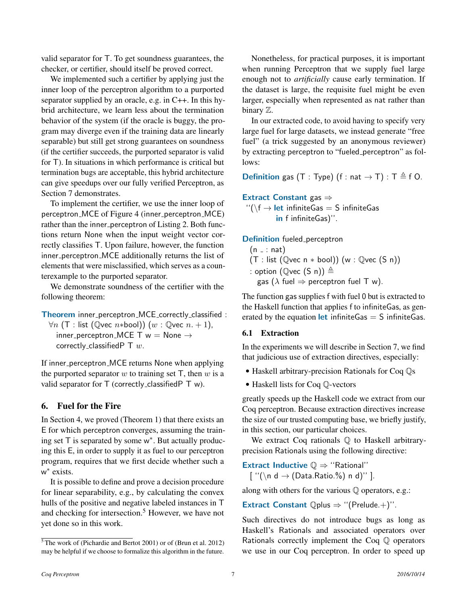valid separator for T. To get soundness guarantees, the checker, or certifier, should itself be proved correct.

We implemented such a certifier by applying just the inner loop of the perceptron algorithm to a purported separator supplied by an oracle, e.g. in C++. In this hybrid architecture, we learn less about the termination behavior of the system (if the oracle is buggy, the program may diverge even if the training data are linearly separable) but still get strong guarantees on soundness (if the certifier succeeds, the purported separator is valid for T). In situations in which performance is critical but termination bugs are acceptable, this hybrid architecture can give speedups over our fully verified Perceptron, as Section 7 demonstrates.

To implement the certifier, we use the inner loop of perceptron\_MCE of Figure 4 (inner\_perceptron\_MCE) rather than the inner perceptron of Listing 2. Both functions return None when the input weight vector correctly classifies T. Upon failure, however, the function inner perceptron MCE additionally returns the list of elements that were misclassified, which serves as a counterexample to the purported separator.

We demonstrate soundness of the certifier with the following theorem:

Theorem inner\_perceptron\_MCE\_correctly\_classified :

 $\forall n$  (T : list ( $\mathbb{Q}$ vec n\*bool)) (w :  $\mathbb{Q}$ vec n. + 1), inner\_perceptron\_MCE T  $w =$  None  $\rightarrow$ correctly\_classifiedP  $\top w$ .

If inner\_perceptron\_MCE returns None when applying the purported separator  $w$  to training set  $T$ , then  $w$  is a valid separator for  $T$  (correctly classified PT w).

# 6. Fuel for the Fire

In Section 4, we proved (Theorem 1) that there exists an E for which perceptron converges, assuming the training set  $\overline{T}$  is separated by some w<sup>\*</sup>. But actually producing this E, in order to supply it as fuel to our perceptron program, requires that we first decide whether such a w ∗ exists.

It is possible to define and prove a decision procedure for linear separability, e.g., by calculating the convex hulls of the positive and negative labeled instances in T and checking for intersection.<sup>5</sup> However, we have not yet done so in this work.

Nonetheless, for practical purposes, it is important when running Perceptron that we supply fuel large enough not to *artificially* cause early termination. If the dataset is large, the requisite fuel might be even larger, especially when represented as nat rather than binary Z.

In our extracted code, to avoid having to specify very large fuel for large datasets, we instead generate "free fuel" (a trick suggested by an anonymous reviewer) by extracting perceptron to "fueled perceptron" as follows:

**Definition** gas (T : Type)  $(f : nat \rightarrow T) : T \triangleq f O$ .

Extract Constant gas ⇒ ''(\f → let infiniteGas = S infiniteGas in f infiniteGas)".

Definition fueled\_perceptron

 $(n - : nat)$  $(T : list (Qvec n * bool))$   $(w : Qvec(S n))$ : option (Qvec  $(S \nvert) \triangleq$ gas ( $\lambda$  fuel  $\Rightarrow$  perceptron fuel T w).

The function gas supplies f with fuel 0 but is extracted to the Haskell function that applies f to infiniteGas, as generated by the equation **let** infinite Gas  $=$  S infinite Gas.

### 6.1 Extraction

In the experiments we will describe in Section 7, we find that judicious use of extraction directives, especially:

- Haskell arbitrary-precision Rationals for Coq  $\mathbb{Q}s$
- Haskell lists for Coq Q-vectors

greatly speeds up the Haskell code we extract from our Coq perceptron. Because extraction directives increase the size of our trusted computing base, we briefly justify, in this section, our particular choices.

We extract Coq rationals  $\mathbb Q$  to Haskell arbitraryprecision Rationals using the following directive:

Extract Inductive  $\mathbb{Q} \Rightarrow$  "Rational"

[ ''(\n d → (Data.Ratio.%) n d)'' ].

along with others for the various  $\mathbb O$  operators, e.g.:

Extract Constant  $\mathbb{Q}$ plus  $\Rightarrow$  "(Prelude.+)".

Such directives do not introduce bugs as long as Haskell's Rationals and associated operators over Rationals correctly implement the Coq Q operators we use in our Coq perceptron. In order to speed up

 $\frac{5}{10}$ The work of (Pichardie and Bertot 2001) or of (Brun et al. 2012) may be helpful if we choose to formalize this algorithm in the future.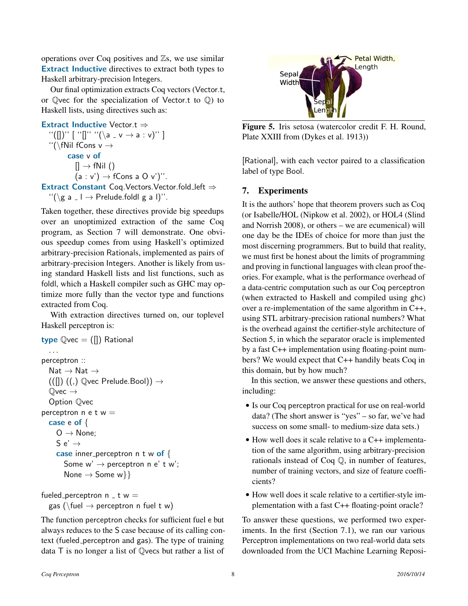operations over Coq positives and  $\mathbb{Z}_s$ , we use similar Extract Inductive directives to extract both types to Haskell arbitrary-precision Integers.

Our final optimization extracts Coq vectors (Vector.t, or Qvec for the specialization of Vector.t to Q) to Haskell lists, using directives such as:

### Extract Inductive Vector.t ⇒

 $''([])'']$  [ ''[]''  $''(\lambda a - v \rightarrow a : v)'$ ]  $\lq\lq$ ''(\fNil fCons v  $\rightarrow$ case v of  $[] \rightarrow fNil()$  $(a : v') \rightarrow fCons a O v'$ ". Extract Constant Coq.Vectors.Vector.fold left ⇒

 $\lq\lq(\lg a \rceil \rightarrow \text{Prelude.fold} \mid g \mid a \rceil)$ ".

Taken together, these directives provide big speedups over an unoptimized extraction of the same Coq program, as Section 7 will demonstrate. One obvious speedup comes from using Haskell's optimized arbitrary-precision Rationals, implemented as pairs of arbitrary-precision Integers. Another is likely from using standard Haskell lists and list functions, such as foldl, which a Haskell compiler such as GHC may optimize more fully than the vector type and functions extracted from Coq.

With extraction directives turned on, our toplevel Haskell perceptron is:

```
type \mathbb{Q}vec = ([]) Rational
   . . .
perceptron ::
   Nat \rightarrow Nat \rightarrow((\Pi) ((,) \mathbb{Q} \text{vec P} \text{relude}.\text{Bool})) \rightarrow\mathbb{Q}vec \rightarrowOption Qvec
perceptron n \in \mathfrak{t} w =case e of {
      O \rightarrow None;
      S e' \rightarrowcase inner perceptron n t w of \{Some w' \rightarrow perceptron n e' t w';
         None \rightarrow Some w}}
```
fueled perceptron  $n - t w =$ gas (\fuel  $\rightarrow$  perceptron n fuel t w)

The function perceptron checks for sufficient fuel e but always reduces to the S case because of its calling context (fueled perceptron and gas). The type of training data T is no longer a list of Qvecs but rather a list of



Figure 5. Iris setosa (watercolor credit F. H. Round, Plate XXIII from (Dykes et al. 1913))

[Rational], with each vector paired to a classification label of type Bool.

## 7. Experiments

It is the authors' hope that theorem provers such as Coq (or Isabelle/HOL (Nipkow et al. 2002), or HOL4 (Slind and Norrish 2008), or others – we are ecumenical) will one day be the IDEs of choice for more than just the most discerning programmers. But to build that reality, we must first be honest about the limits of programming and proving in functional languages with clean proof theories. For example, what is the performance overhead of a data-centric computation such as our Coq perceptron (when extracted to Haskell and compiled using ghc) over a re-implementation of the same algorithm in C++, using STL arbitrary-precision rational numbers? What is the overhead against the certifier-style architecture of Section 5, in which the separator oracle is implemented by a fast C++ implementation using floating-point numbers? We would expect that C++ handily beats Coq in this domain, but by how much?

In this section, we answer these questions and others, including:

- Is our Coq perceptron practical for use on real-world data? (The short answer is "yes" – so far, we've had success on some small- to medium-size data sets.)
- How well does it scale relative to a C++ implementation of the same algorithm, using arbitrary-precision rationals instead of Coq Q, in number of features, number of training vectors, and size of feature coefficients?
- How well does it scale relative to a certifier-style implementation with a fast C++ floating-point oracle?

To answer these questions, we performed two experiments. In the first (Section 7.1), we ran our various Perceptron implementations on two real-world data sets downloaded from the UCI Machine Learning Reposi-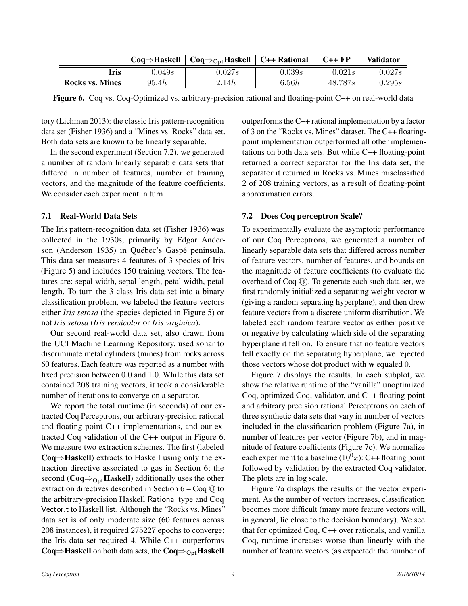|                        |        | $Coq \Rightarrow Haskell \mid Coq \Rightarrow_{Ont}Haskell \mid C++ Rational$ |        | $C++FP$ | <b>Validator</b> |  |
|------------------------|--------|-------------------------------------------------------------------------------|--------|---------|------------------|--|
| fris                   | 0.049s | 0.027s                                                                        | 0.039s | 0.021s  | 0.027s           |  |
| <b>Rocks vs. Mines</b> | 95.4h  | 2.14h                                                                         | 6.56h  | 48.787s | 0.295s           |  |

Figure 6. Coq vs. Coq-Optimized vs. arbitrary-precision rational and floating-point C++ on real-world data

tory (Lichman 2013): the classic Iris pattern-recognition data set (Fisher 1936) and a "Mines vs. Rocks" data set. Both data sets are known to be linearly separable.

In the second experiment (Section 7.2), we generated a number of random linearly separable data sets that differed in number of features, number of training vectors, and the magnitude of the feature coefficients. We consider each experiment in turn.

### 7.1 Real-World Data Sets

The Iris pattern-recognition data set (Fisher 1936) was collected in the 1930s, primarily by Edgar Anderson (Anderson 1935) in Québec's Gaspé peninsula. This data set measures 4 features of 3 species of Iris (Figure 5) and includes 150 training vectors. The features are: sepal width, sepal length, petal width, petal length. To turn the 3-class Iris data set into a binary classification problem, we labeled the feature vectors either *Iris setosa* (the species depicted in Figure 5) or not *Iris setosa* (*Iris versicolor* or *Iris virginica*).

Our second real-world data set, also drawn from the UCI Machine Learning Repository, used sonar to discriminate metal cylinders (mines) from rocks across 60 features. Each feature was reported as a number with fixed precision between 0.0 and 1.0. While this data set contained 208 training vectors, it took a considerable number of iterations to converge on a separator.

We report the total runtime (in seconds) of our extracted Coq Perceptrons, our arbitrary-precision rational and floating-point C++ implementations, and our extracted Coq validation of the C++ output in Figure 6. We measure two extraction schemes. The first (labeled Coq⇒Haskell) extracts to Haskell using only the extraction directive associated to gas in Section 6; the second ( $Coq \Rightarrow_{Ort}$ **Haskell**) additionally uses the other extraction directives described in Section  $6 - \text{Cog } \mathbb{Q}$  to the arbitrary-precision Haskell Rational type and Coq Vector.t to Haskell list. Although the "Rocks vs. Mines" data set is of only moderate size (60 features across 208 instances), it required 275227 epochs to converge; the Iris data set required 4. While C++ outperforms Coq⇒Haskell on both data sets, the Coq⇒<sub>Opt</sub>Haskell

outperforms the C++ rational implementation by a factor of 3 on the "Rocks vs. Mines" dataset. The C++ floatingpoint implementation outperformed all other implementations on both data sets. But while C++ floating-point returned a correct separator for the Iris data set, the separator it returned in Rocks vs. Mines misclassified 2 of 208 training vectors, as a result of floating-point approximation errors.

### 7.2 Does Coq perceptron Scale?

To experimentally evaluate the asymptotic performance of our Coq Perceptrons, we generated a number of linearly separable data sets that differed across number of feature vectors, number of features, and bounds on the magnitude of feature coefficients (to evaluate the overhead of Coq Q). To generate each such data set, we first randomly initialized a separating weight vector w (giving a random separating hyperplane), and then drew feature vectors from a discrete uniform distribution. We labeled each random feature vector as either positive or negative by calculating which side of the separating hyperplane it fell on. To ensure that no feature vectors fell exactly on the separating hyperplane, we rejected those vectors whose dot product with w equaled 0.

Figure 7 displays the results. In each subplot, we show the relative runtime of the "vanilla" unoptimized Coq, optimized Coq, validator, and C++ floating-point and arbitrary precision rational Perceptrons on each of three synthetic data sets that vary in number of vectors included in the classification problem (Figure 7a), in number of features per vector (Figure 7b), and in magnitude of feature coefficients (Figure 7c). We normalize each experiment to a baseline  $(10<sup>0</sup>x)$ : C++ floating point followed by validation by the extracted Coq validator. The plots are in log scale.

Figure 7a displays the results of the vector experiment. As the number of vectors increases, classification becomes more difficult (many more feature vectors will, in general, lie close to the decision boundary). We see that for optimized Coq, C++ over rationals, and vanilla Coq, runtime increases worse than linearly with the number of feature vectors (as expected: the number of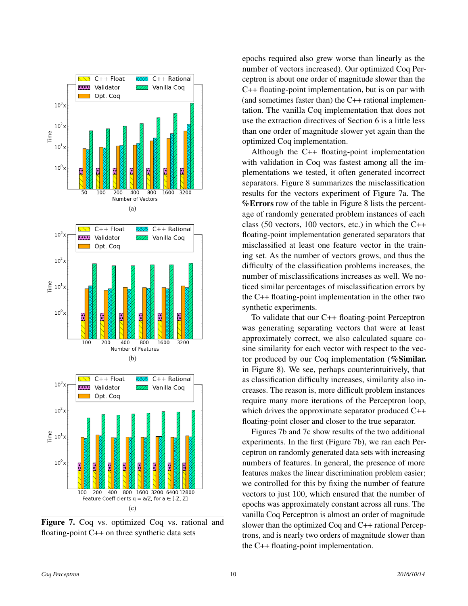

Figure 7. Coq vs. optimized Coq vs. rational and floating-point C++ on three synthetic data sets

epochs required also grew worse than linearly as the number of vectors increased). Our optimized Coq Perceptron is about one order of magnitude slower than the C++ floating-point implementation, but is on par with (and sometimes faster than) the C++ rational implementation. The vanilla Coq implementation that does not use the extraction directives of Section 6 is a little less than one order of magnitude slower yet again than the optimized Coq implementation.

Although the C++ floating-point implementation with validation in Coq was fastest among all the implementations we tested, it often generated incorrect separators. Figure 8 summarizes the misclassification results for the vectors experiment of Figure 7a. The %Errors row of the table in Figure 8 lists the percentage of randomly generated problem instances of each class (50 vectors, 100 vectors, etc.) in which the C++ floating-point implementation generated separators that misclassified at least one feature vector in the training set. As the number of vectors grows, and thus the difficulty of the classification problems increases, the number of misclassifications increases as well. We noticed similar percentages of misclassification errors by the C++ floating-point implementation in the other two synthetic experiments.

To validate that our C++ floating-point Perceptron was generating separating vectors that were at least approximately correct, we also calculated square cosine similarity for each vector with respect to the vector produced by our Coq implementation (%Similar. in Figure 8). We see, perhaps counterintuitively, that as classification difficulty increases, similarity also increases. The reason is, more difficult problem instances require many more iterations of the Perceptron loop, which drives the approximate separator produced C++ floating-point closer and closer to the true separator.

Figures 7b and 7c show results of the two additional experiments. In the first (Figure 7b), we ran each Perceptron on randomly generated data sets with increasing numbers of features. In general, the presence of more features makes the linear discrimination problem easier; we controlled for this by fixing the number of feature vectors to just 100, which ensured that the number of epochs was approximately constant across all runs. The vanilla Coq Perceptron is almost an order of magnitude slower than the optimized Coq and C++ rational Perceptrons, and is nearly two orders of magnitude slower than the C++ floating-point implementation.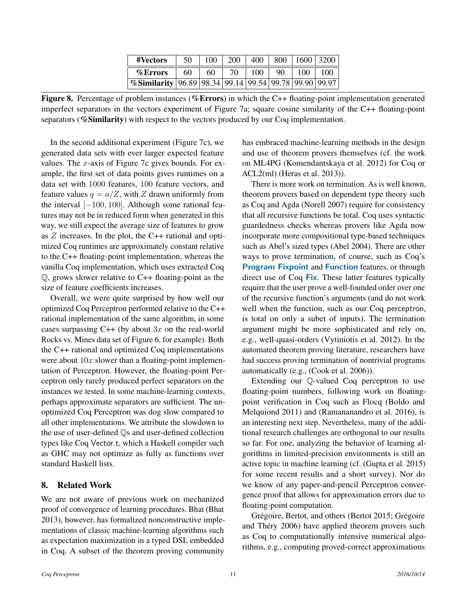| #Vectors                                                            | 50 | 100 | 200 | 400 | 800 | 1600 | 3200 |
|---------------------------------------------------------------------|----|-----|-----|-----|-----|------|------|
| %Errors                                                             | 60 | 60  | 70  | 100 | 90  | 100  | 100  |
| %Similarity   96.89   98.34   99.14   99.54   99.78   99.90   99.97 |    |     |     |     |     |      |      |

Figure 8. Percentage of problem instances (%Errors) in which the C++ floating-point implementation generated imperfect separators in the vectors experiment of Figure 7a; square cosine similarity of the C++ floating-point separators (%Similarity) with respect to the vectors produced by our Coq implementation.

In the second additional experiment (Figure 7c), we generated data sets with ever larger expected feature values. The  $x$ -axis of Figure 7c gives bounds. For example, the first set of data points gives runtimes on a data set with 1000 features, 100 feature vectors, and feature values  $q = a/Z$ , with Z drawn uniformly from the interval [−100, 100]. Although some rational features may not be in reduced form when generated in this way, we still expect the average size of features to grow as  $Z$  increases. In the plot, the C++ rational and optimized Coq runtimes are approximately constant relative to the C++ floating-point implementation, whereas the vanilla Coq implementation, which uses extracted Coq Q, grows slower relative to C++ floating-point as the size of feature coefficients increases.

Overall, we were quite surprised by how well our optimized Coq Perceptron performed relative to the C++ rational implementation of the same algorithm, in some cases surpassing  $C++$  (by about 3x on the real-world Rocks vs. Mines data set of Figure 6, for example). Both the C++ rational and optimized Coq implementations were about  $10x$  slower than a floating-point implementation of Perceptron. However, the floating-point Perceptron only rarely produced perfect separators on the instances we tested. In some machine-learning contexts, perhaps approximate separators are sufficient. The unoptimized Coq Perceptron was dog slow compared to all other implementations. We attribute the slowdown to the use of user-defined Qs and user-defined collection types like Coq Vector.t, which a Haskell compiler such as GHC may not optimize as fully as functions over standard Haskell lists.

### 8. Related Work

We are not aware of previous work on mechanized proof of convergence of learning procedures. Bhat (Bhat 2013), however, has formalized nonconstructive implementations of classic machine-learning algorithms such as expectation maximization in a typed DSL embedded in Coq. A subset of the theorem proving community

has embraced machine-learning methods in the design and use of theorem provers themselves (cf. the work on ML4PG (Komendantskaya et al. 2012) for Coq or ACL2(ml) (Heras et al. 2013)).

There is more work on termination. As is well known, theorem provers based on dependent type theory such as Coq and Agda (Norell 2007) require for consistency that all recursive functions be total. Coq uses syntactic guardedness checks whereas provers like Agda now incorporate more compositional type-based techniques such as Abel's sized types (Abel 2004). There are other ways to prove termination, of course, such as Coq's Program Fixpoint and Function features, or through direct use of Coq Fix. These latter features typically require that the user prove a well-founded order over one of the recursive function's arguments (and do not work well when the function, such as our Coq perceptron, is total on only a subet of inputs). The termination argument might be more sophisticated and rely on, e.g., well-quasi-orders (Vytiniotis et al. 2012). In the automated theorem proving literature, researchers have had success proving termination of nontrivial programs automatically (e.g., (Cook et al. 2006)).

Extending our Q-valued Coq perceptron to use floating-point numbers, following work on floatingpoint verification in Coq such as Flocq (Boldo and Melquiond 2011) and (Ramananandro et al. 2016), is an interesting next step. Nevertheless, many of the additional research challenges are orthogonal to our results so far. For one, analyzing the behavior of learning algorithms in limited-precision environments is still an active topic in machine learning (cf. (Gupta et al. 2015) for some recent results and a short survey). Nor do we know of any paper-and-pencil Perceptron convergence proof that allows for approximation errors due to floating-point computation.

Grégoire, Bertot, and others (Bertot 2015; Grégoire and Théry 2006) have applied theorem provers such as Coq to computationally intensive numerical algorithms, e.g., computing proved-correct approximations